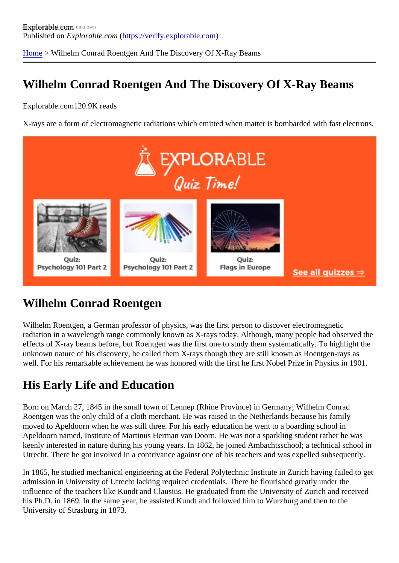[Home](https://verify.explorable.com/) > Wilhelm Conrad Roentgen And The Discovery Of X-Ray Beams

### Wilhelm Conrad Roentgen And The Discovery Of X-Ray Beams

Explorable.com120.9K reads

X-rays are a form of electromagnetic radiations which emitted when matter is bombarded with fast electron

### Wilhelm Conrad Roentgen

Wilhelm Roentgen, a German professor of physics, was the first person to discover electromagnetic radiation in a wavelength range commonly known as X-rays today. Although, many people had observed t effects of X-ray beams before, but Roentgen was the first one to study them systematically. To highlight the unknown nature of his discovery, he called them X-rays though they are still known as Roentgen-rays as well. For his remarkable achievement he was honored with the first he first Nobel Prize in Physics in 1901.

#### His Early Life and Education

Born on March 27, 1845 in the small town of Lennep (Rhine Province) in Germany; Wilhelm Conrad Roentgen was the only child of a cloth merchant. He was raised in the Netherlands because his family moved to Apeldoorn when he was still three. For his early education he went to a boarding school in Apeldoorn named, Institute of Martinus Herman van Doorn. He was not a sparkling student rather he was keenly interested in nature during his young years. In 1862, he joined Ambachtsschool; a technical school Utrecht. There he got involved in a contrivance against one of his teachers and was expelled subsequently

In 1865, he studied mechanical engineering at the Federal Polytechnic Institute in Zurich having failed to get admission in University of Utrecht lacking required credentials. There he flourished greatly under the influence of the teachers like Kundt and Clausius. He graduated from the University of Zurich and received his Ph.D. in 1869. In the same year, he assisted Kundt and followed him to Wurzburg and then to the University of Strasburg in 1873.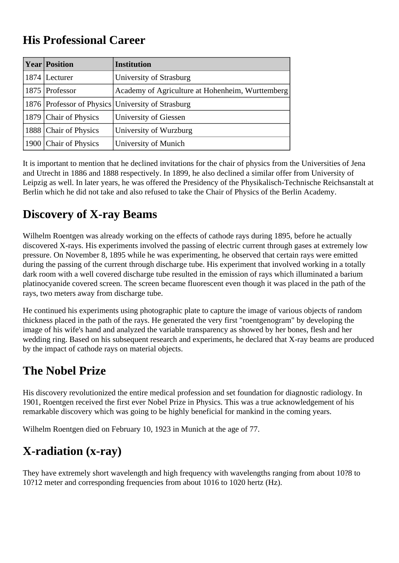#### **His Professional Career**

| <b>Year Position</b>  | <b>Institution</b>                                |
|-----------------------|---------------------------------------------------|
| 1874   Lecturer       | University of Strasburg                           |
| 1875 Professor        | Academy of Agriculture at Hohenheim, Wurttemberg  |
|                       | 1876 Professor of Physics University of Strasburg |
| 1879 Chair of Physics | University of Giessen                             |
| 1888 Chair of Physics | University of Wurzburg                            |
| 1900 Chair of Physics | University of Munich                              |

It is important to mention that he declined invitations for the chair of physics from the Universities of Jena and Utrecht in 1886 and 1888 respectively. In 1899, he also declined a similar offer from University of Leipzig as well. In later years, he was offered the Presidency of the Physikalisch-Technische Reichsanstalt at Berlin which he did not take and also refused to take the Chair of Physics of the Berlin Academy.

### **Discovery of X-ray Beams**

Wilhelm Roentgen was already working on the effects of cathode rays during 1895, before he actually discovered X-rays. His experiments involved the passing of electric current through gases at extremely low pressure. On November 8, 1895 while he was experimenting, he observed that certain rays were emitted during the passing of the current through discharge tube. His experiment that involved working in a totally dark room with a well covered discharge tube resulted in the emission of rays which illuminated a barium platinocyanide covered screen. The screen became fluorescent even though it was placed in the path of the rays, two meters away from discharge tube.

He continued his experiments using photographic plate to capture the image of various objects of random thickness placed in the path of the rays. He generated the very first "roentgenogram" by developing the image of his wife's hand and analyzed the variable transparency as showed by her bones, flesh and her wedding ring. Based on his subsequent research and experiments, he declared that X-ray beams are produced by the impact of cathode rays on material objects.

### **The Nobel Prize**

His discovery revolutionized the entire medical profession and set foundation for diagnostic radiology. In 1901, Roentgen received the first ever Nobel Prize in Physics. This was a true acknowledgement of his remarkable discovery which was going to be highly beneficial for mankind in the coming years.

Wilhelm Roentgen died on February 10, 1923 in Munich at the age of 77.

# **X-radiation (x-ray)**

They have extremely short wavelength and high frequency with wavelengths ranging from about 10?8 to 10?12 meter and corresponding frequencies from about 1016 to 1020 hertz (Hz).